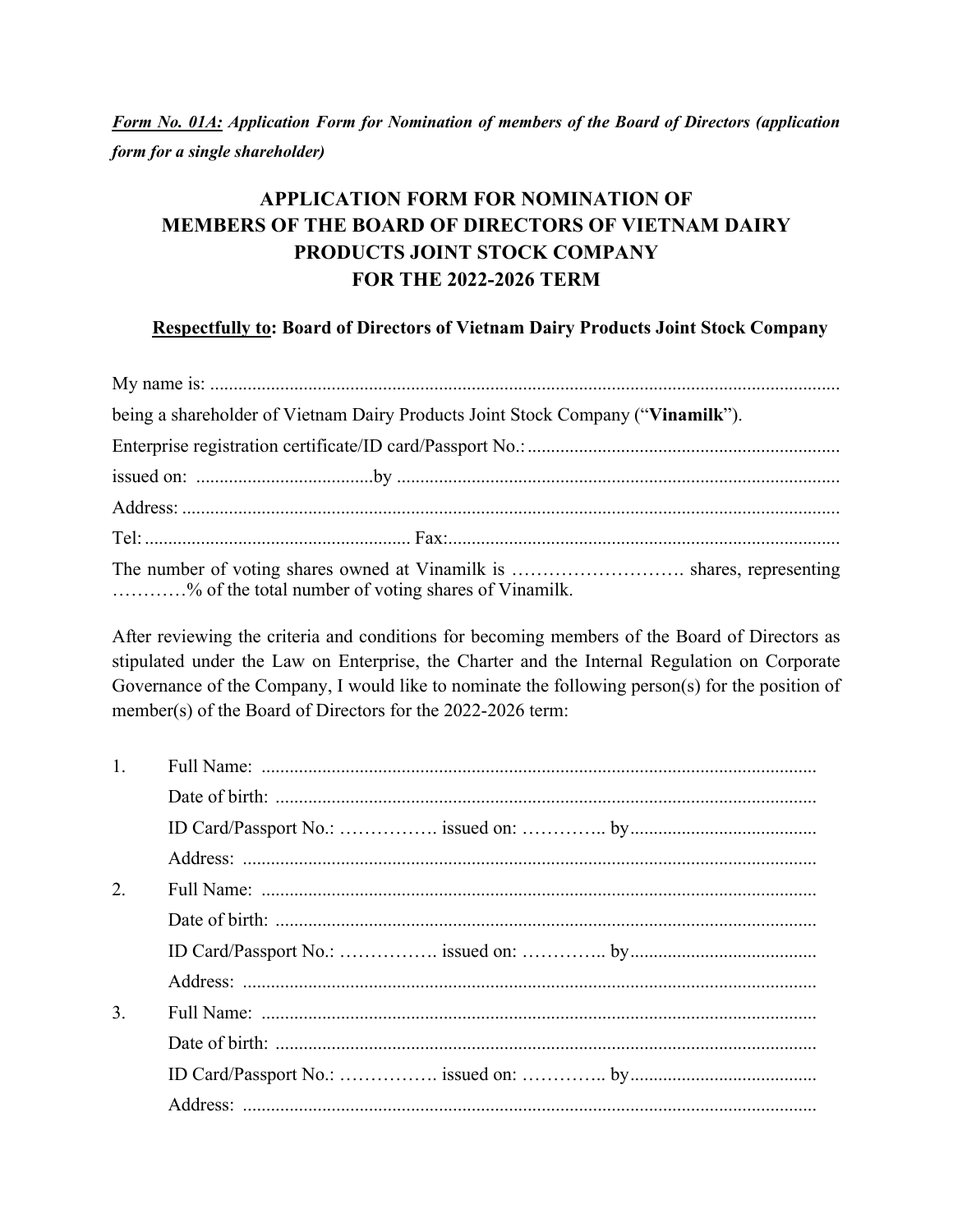*Form No. 01A: Application Form for Nomination of members of the Board of Directors (application form for a single shareholder)* 

## **APPLICATION FORM FOR NOMINATION OF MEMBERS OF THE BOARD OF DIRECTORS OF VIETNAM DAIRY PRODUCTS JOINT STOCK COMPANY FOR THE 2022-2026 TERM**

## **Respectfully to: Board of Directors of Vietnam Dairy Products Joint Stock Company**

| being a shareholder of Vietnam Dairy Products Joint Stock Company ("Vinamilk"). |
|---------------------------------------------------------------------------------|
|                                                                                 |
|                                                                                 |
|                                                                                 |
|                                                                                 |
| % of the total number of voting shares of Vinamilk.                             |

After reviewing the criteria and conditions for becoming members of the Board of Directors as stipulated under the Law on Enterprise, the Charter and the Internal Regulation on Corporate Governance of the Company, I would like to nominate the following person(s) for the position of member(s) of the Board of Directors for the 2022-2026 term:

| 1.               |  |
|------------------|--|
|                  |  |
|                  |  |
|                  |  |
| 2.               |  |
|                  |  |
|                  |  |
|                  |  |
| $\overline{3}$ . |  |
|                  |  |
|                  |  |
|                  |  |